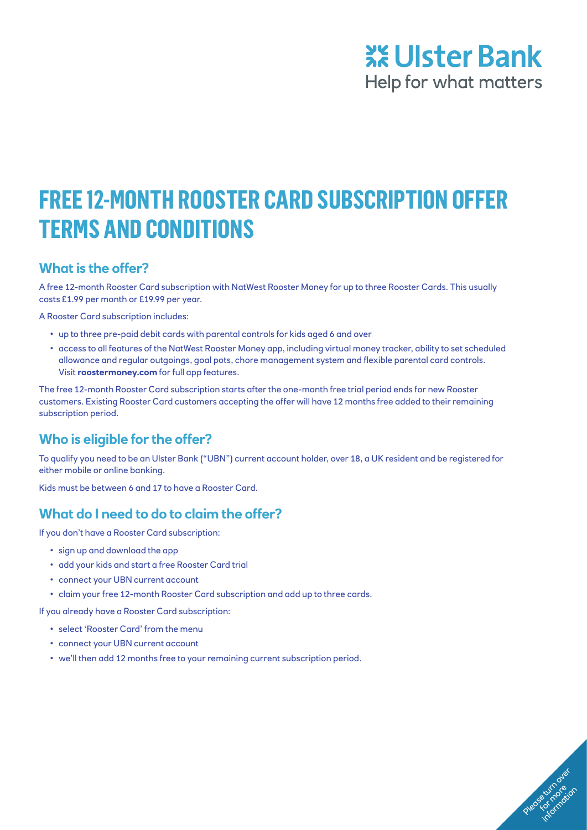## **XX Ulster Bank** Help for what matters

Please turn over

# **FREE 12-MONTH ROOSTER CARD SUBSCRIPTION OFFER TERMS AND CONDITIONS**

### **What is the offer?**

A free 12-month Rooster Card subscription with NatWest Rooster Money for up to three Rooster Cards. This usually costs £1.99 per month or £19.99 per year.

A Rooster Card subscription includes:

- up to three pre-paid debit cards with parental controls for kids aged 6 and over
- access to all features of the NatWest Rooster Money app, including virtual money tracker, ability to set scheduled allowance and regular outgoings, goal pots, chore management system and flexible parental card controls. Visit **[roostermoney.com](https://roostermoney.com/gb/)** for full app features.

The free 12-month Rooster Card subscription starts after the one-month free trial period ends for new Rooster customers. Existing Rooster Card customers accepting the offer will have 12 months free added to their remaining subscription period.

## **Who is eligible for the offer?**

To qualify you need to be an Ulster Bank ("UBN") current account holder, over 18, a UK resident and be registered for either mobile or online banking.

Kids must be between 6 and 17 to have a Rooster Card.

## **What do I need to do to claim the offer?**

If you don't have a Rooster Card subscription:

- sign up and download the app
- add your kids and start a free Rooster Card trial
- connect your UBN current account
- claim your free 12-month Rooster Card subscription and add up to three cards.

If you already have a Rooster Card subscription:

- select 'Rooster Card' from the menu
- connect your UBN current account
- we'll then add 12 months free to your remaining current subscription period.